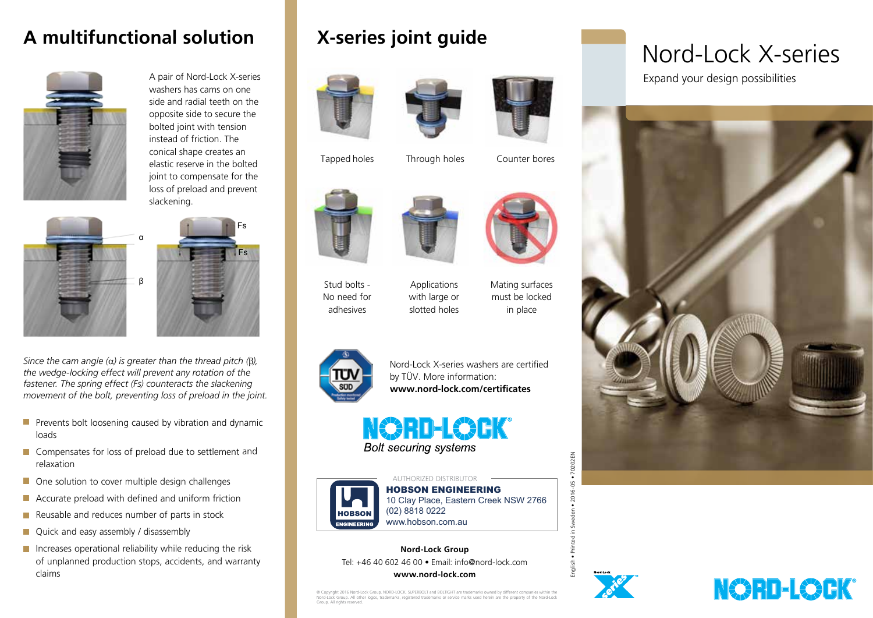## **A multifunctional solution**



A pair of Nord-Lock X-series washers has cams on one side and radial teeth on the opposite side to secure the bolted joint with tension instead of friction. The conical shape creates an elastic reserve in the bolted joint to compensate for the loss of preload and prevent slackening.



*Since the cam angle (*α*) is greater than the thread pitch (*β*), the wedge-locking effect will prevent any rotation of the*  fastener. The spring effect (Fs) counteracts the slackening *movement of the bolt, preventing loss of preload in the joint.*

- $\blacksquare$  Prevents bolt loosening caused by vibration and dynamic loads
- Compensates for loss of preload due to settlement and relaxation
- One solution to cover multiple design challenges
- **Accurate preload with defined and uniform friction**
- $\blacksquare$  Reusable and reduces number of parts in stock
- Quick and easy assembly / disassembly
- $\blacksquare$  Increases operational reliability while reducing the risk of unplanned production stops, accidents, and warranty claims

## **X-series joint guide**













Through holes Counter bores



Tapped holes





Stud bolts - No need for adhesives

Applications with large or slotted holes

Mating surfaces must be locked in place



Nord-Lock X-series washers are certified by TÜV. More information: **www.nord-lock.com/certificates** 





Group. All rights reserved.

AUTHORIZED DISTRIBUTOR HOBSON ENGINEERING 10 Clay Place, Eastern Creek NSW 2766 (02) 8818 0222 www.hobson.com.au

**Nord-Lock Group** Tel: +46 40 602 46 00 • Email: info@nord-lock.com

**www.nord-lock.com**

© Copyright 2016 Nord-Lock Group. NORD-LOCK, SUPERBOLT and BOLTIGHT are trademarks owned by different companies within the<br>Nord-Lock Group. All other logos, trademarks, registered trademarks or service marks used herein ar

 $\overline{5}$ 

# Nord-Lock X-series

Expand your design possibilities



**NORD-LOCK®**